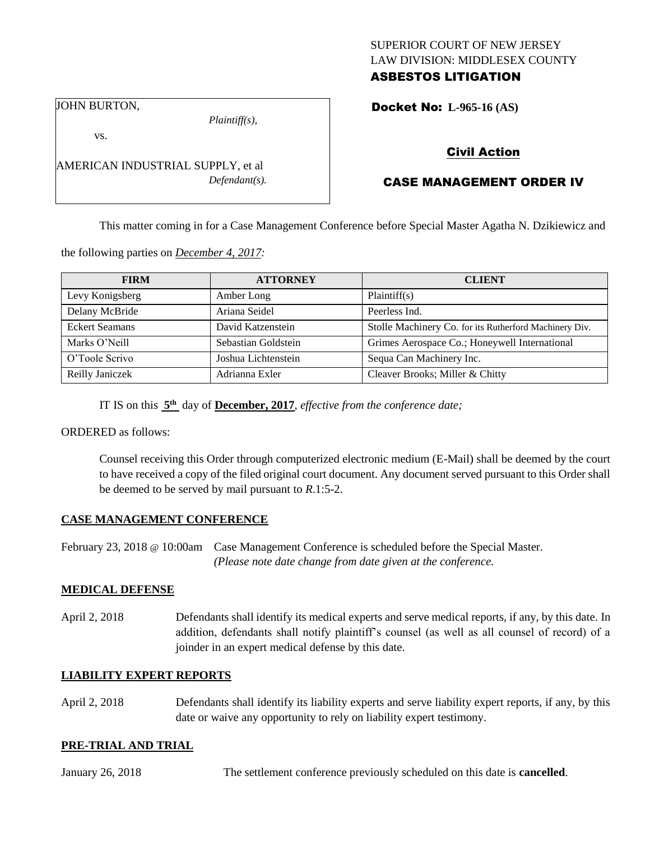### SUPERIOR COURT OF NEW JERSEY LAW DIVISION: MIDDLESEX COUNTY ASBESTOS LITIGATION

JOHN BURTON,

*Plaintiff(s),*

Docket No: **L-965-16 (AS)** 

vs.

AMERICAN INDUSTRIAL SUPPLY, et al *Defendant(s).*

## Civil Action

# CASE MANAGEMENT ORDER IV

This matter coming in for a Case Management Conference before Special Master Agatha N. Dzikiewicz and

the following parties on *December 4, 2017:*

| <b>FIRM</b>           | <b>ATTORNEY</b>     | <b>CLIENT</b>                                          |
|-----------------------|---------------------|--------------------------------------------------------|
| Levy Konigsberg       | Amber Long          | Plaintiff(s)                                           |
| Delany McBride        | Ariana Seidel       | Peerless Ind.                                          |
| <b>Eckert Seamans</b> | David Katzenstein   | Stolle Machinery Co. for its Rutherford Machinery Div. |
| Marks O'Neill         | Sebastian Goldstein | Grimes Aerospace Co.; Honeywell International          |
| O'Toole Scrivo        | Joshua Lichtenstein | Sequa Can Machinery Inc.                               |
| Reilly Janiczek       | Adrianna Exler      | Cleaver Brooks; Miller & Chitty                        |

IT IS on this **5 th** day of **December, 2017**, *effective from the conference date;*

ORDERED as follows:

Counsel receiving this Order through computerized electronic medium (E-Mail) shall be deemed by the court to have received a copy of the filed original court document. Any document served pursuant to this Order shall be deemed to be served by mail pursuant to *R*.1:5-2.

### **CASE MANAGEMENT CONFERENCE**

February 23, 2018 @ 10:00am Case Management Conference is scheduled before the Special Master. *(Please note date change from date given at the conference.*

### **MEDICAL DEFENSE**

April 2, 2018 Defendants shall identify its medical experts and serve medical reports, if any, by this date. In addition, defendants shall notify plaintiff's counsel (as well as all counsel of record) of a joinder in an expert medical defense by this date.

### **LIABILITY EXPERT REPORTS**

April 2, 2018 Defendants shall identify its liability experts and serve liability expert reports, if any, by this date or waive any opportunity to rely on liability expert testimony.

### **PRE-TRIAL AND TRIAL**

January 26, 2018 The settlement conference previously scheduled on this date is **cancelled**.